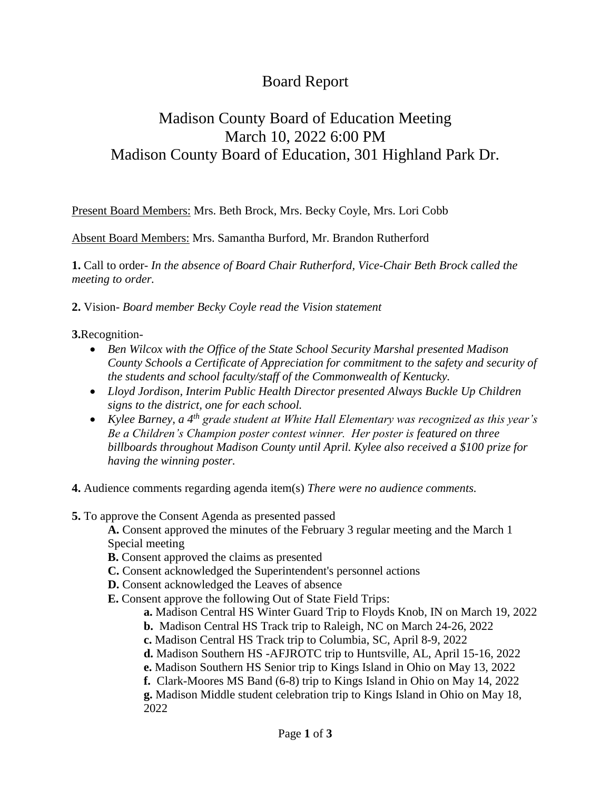## Board Report

## Madison County Board of Education Meeting March 10, 2022 6:00 PM Madison County Board of Education, 301 Highland Park Dr.

Present Board Members: Mrs. Beth Brock, Mrs. Becky Coyle, Mrs. Lori Cobb

Absent Board Members: Mrs. Samantha Burford, Mr. Brandon Rutherford

**1.** Call to order- *In the absence of Board Chair Rutherford, Vice-Chair Beth Brock called the meeting to order.*

**2.** Vision- *Board member Becky Coyle read the Vision statement*

**3.**Recognition-

- *Ben Wilcox with the Office of the State School Security Marshal presented Madison County Schools a Certificate of Appreciation for commitment to the safety and security of the students and school faculty/staff of the Commonwealth of Kentucky.*
- *Lloyd Jordison, Interim Public Health Director presented Always Buckle Up Children signs to the district, one for each school.*
- *Kylee Barney, a 4th grade student at White Hall Elementary was recognized as this year's Be a Children's Champion poster contest winner. Her poster is featured on three billboards throughout Madison County until April. Kylee also received a \$100 prize for having the winning poster.*

**4.** Audience comments regarding agenda item(s) *There were no audience comments.*

**5.** To approve the Consent Agenda as presented passed

**A.** Consent approved the minutes of the February 3 regular meeting and the March 1 Special meeting

- **B.** Consent approved the claims as presented
- **C.** Consent acknowledged the Superintendent's personnel actions
- **D.** Consent acknowledged the Leaves of absence
- **E.** Consent approve the following Out of State Field Trips:
	- **a.** Madison Central HS Winter Guard Trip to Floyds Knob, IN on March 19, 2022
	- **b.** Madison Central HS Track trip to Raleigh, NC on March 24-26, 2022
	- **c.** Madison Central HS Track trip to Columbia, SC, April 8-9, 2022
	- **d.** Madison Southern HS -AFJROTC trip to Huntsville, AL, April 15-16, 2022
	- **e.** Madison Southern HS Senior trip to Kings Island in Ohio on May 13, 2022
	- **f.** Clark-Moores MS Band (6-8) trip to Kings Island in Ohio on May 14, 2022

**g.** Madison Middle student celebration trip to Kings Island in Ohio on May 18, 2022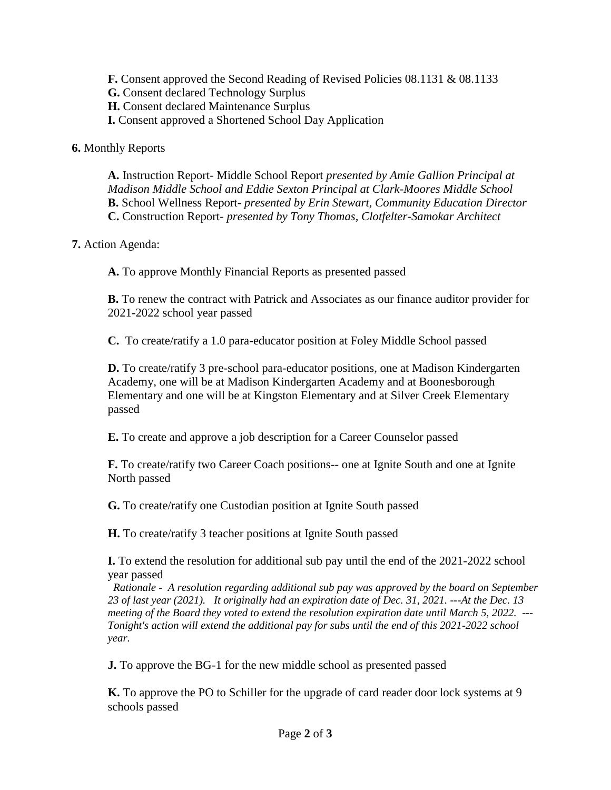**F.** Consent approved the Second Reading of Revised Policies 08.1131 & 08.1133

**G.** Consent declared Technology Surplus

**H.** Consent declared Maintenance Surplus

**I.** Consent approved a Shortened School Day Application

**6.** Monthly Reports

**A.** Instruction Report- Middle School Report *presented by Amie Gallion Principal at Madison Middle School and Eddie Sexton Principal at Clark-Moores Middle School* **B.** School Wellness Report- *presented by Erin Stewart, Community Education Director* **C.** Construction Report- *presented by Tony Thomas, Clotfelter-Samokar Architect*

## **7.** Action Agenda:

**A.** To approve Monthly Financial Reports as presented passed

**B.** To renew the contract with Patrick and Associates as our finance auditor provider for 2021-2022 school year passed

**C.** To create/ratify a 1.0 para-educator position at Foley Middle School passed

**D.** To create/ratify 3 pre-school para-educator positions, one at Madison Kindergarten Academy, one will be at Madison Kindergarten Academy and at Boonesborough Elementary and one will be at Kingston Elementary and at Silver Creek Elementary passed

**E.** To create and approve a job description for a Career Counselor passed

**F.** To create/ratify two Career Coach positions-- one at Ignite South and one at Ignite North passed

**G.** To create/ratify one Custodian position at Ignite South passed

**H.** To create/ratify 3 teacher positions at Ignite South passed

**I.** To extend the resolution for additional sub pay until the end of the 2021-2022 school year passed

 *Rationale - A resolution regarding additional sub pay was approved by the board on September 23 of last year (2021). It originally had an expiration date of Dec. 31, 2021. ---At the Dec. 13 meeting of the Board they voted to extend the resolution expiration date until March 5, 2022. --- Tonight's action will extend the additional pay for subs until the end of this 2021-2022 school year.*

**J.** To approve the BG-1 for the new middle school as presented passed

**K.** To approve the PO to Schiller for the upgrade of card reader door lock systems at 9 schools passed